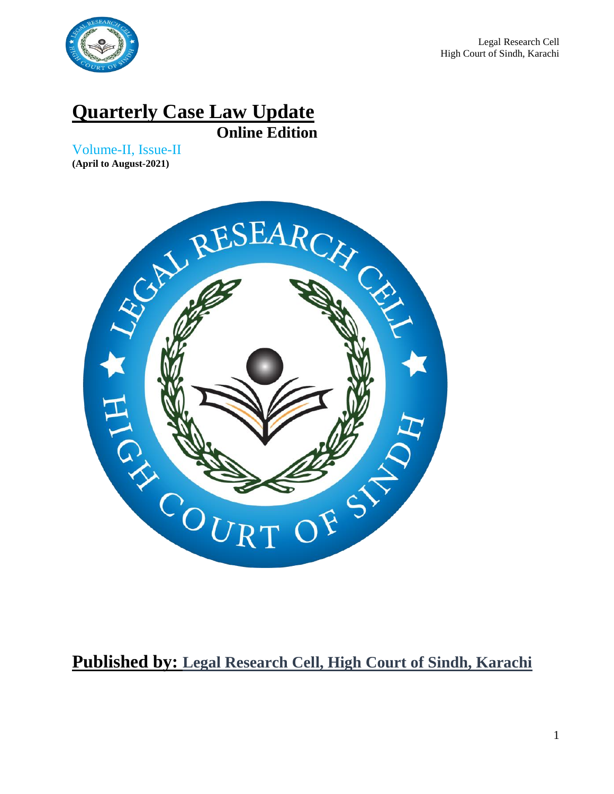

# **Quarterly Case Law Update**

**Online Edition**

Volume-II, Issue-II **(April to August-2021)**



## **Published by: Legal Research Cell, High Court of Sindh, Karachi**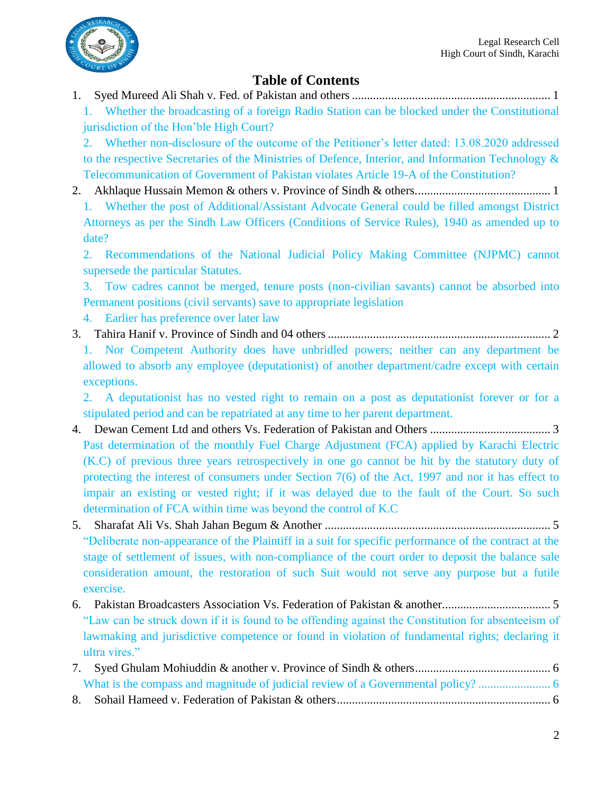

## **Table of Contents**

1. [Syed Mureed Ali Shah v. Fed. of Pakistan and others..................................................................](#page-4-0) 1

1. [Whether the broadcasting of a foreign Radio Station can be blocked under the Constitutional](#page-4-1)  [jurisdiction of the Hon'ble High Court?](#page-4-1)

2. [Whether non-disclosure of the outcome of the Petitioner's letter dated: 13.08.2020 addressed](#page-4-2)  [to the respective Secretaries of the Ministries of Defence, Interior, and Information Technology &](#page-4-2)  [Telecommunication of Government of Pakistan violates Article 19-A of the Constitution?](#page-4-2)

2. [Akhlaque Hussain Memon & others v. Province of Sindh & others.............................................](#page-4-3) 1

1. [Whether the post of Additional/Assistant Advocate General could be filled amongst District](#page-4-4)  [Attorneys as per the Sindh Law Officers \(Conditions of Service Rules\), 1940 as amended up to](#page-4-4)  [date?](#page-4-4)

2. [Recommendations of the National Judicial Policy Making Committee \(NJPMC\) cannot](#page-4-5)  [supersede the particular Statutes.](#page-4-5)

3. [Tow cadres cannot be merged, tenure posts \(non-civilian savants\) cannot be absorbed into](#page-4-6)  [Permanent positions \(civil servants\) save to appropriate legislation](#page-4-6)

- 4. [Earlier has preference over later law](#page-4-7)
- 3. [Tahira Hanif v. Province of Sindh and 04 others..........................................................................](#page-5-0) 2 1. [Nor Competent Authority does have unbridled powers; neither can any department be](#page-6-0)  [allowed to absorb any employee \(deputationist\) of another department/cadre except with certain](#page-6-0)  [exceptions.](#page-6-0)

2. [A deputationist has no vested right to remain on a post as deputationist forever or for a](#page-6-1)  [stipulated period and can be repatriated at any time to her parent department.](#page-6-1)

- 4. [Dewan Cement Ltd and others Vs. Federation of Pakistan and Others](#page-6-2) ........................................ 3 [Past determination of the monthly Fuel Charge Adjustment \(FCA\) applied by Karachi Electric](#page-6-3)  [\(K.C\) of previous three years retrospectively in one go cannot be hit by the statutory duty of](#page-6-3)  [protecting the interest of consumers under Section 7\(6\) of the Act, 1997 and nor it has effect to](#page-6-3)  [impair an existing or vested right; if it was delayed due to the fault of the Court. So such](#page-6-3)  determination of FCA [within time was beyond the control of K.C](#page-6-3)
- 5. [Sharafat Ali Vs. Shah Jahan Begum & Another](#page-8-0) ........................................................................... 5 ["Deliberate non-appearance of the Plaintiff in a suit for specific performance of the contract at the](#page-8-1)  [stage of settlement of issues, with non-compliance of](#page-8-1) the court order to deposit the balance sale [consideration amount, the restoration of such Suit would not serve any purpose but a futile](#page-8-1)  [exercise.](#page-8-1)
- 6. [Pakistan Broadcasters Association Vs. Federation of Pakistan & another....................................](#page-8-2) 5 ["Law can be struck down if it is found to be offending against the Constitution for absenteeism of](#page-8-3)  [lawmaking and jurisdictive competence or found in violation of fundamental rights; declaring it](#page-8-3)  [ultra vires."](#page-8-3)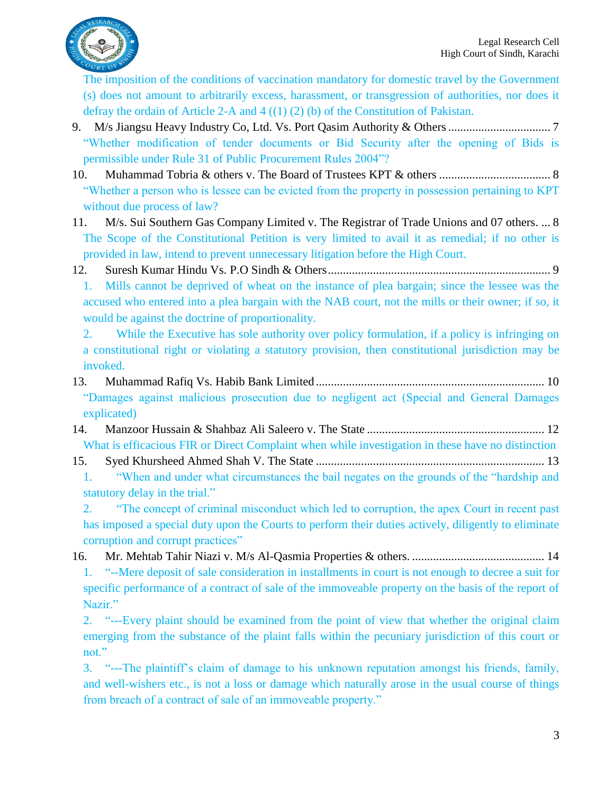

[The imposition of the conditions of vaccination mandatory for domestic travel by the Government](#page-9-3)  [\(s\) does not amount to arbitrarily excess, harassment, or transgression of authorities, nor does it](#page-9-3)  defray the ordain of Article 2-A and  $4((1)(2)(b))$  of the Constitution of Pakistan.

- 9. M/s Jiangsu [Heavy Industry Co, Ltd. Vs. Port Qasim Authority & Others..................................](#page-10-0) 7 ["Whether modification of tender documents or Bid Security after the opening of Bids is](#page-10-1)  [permissible under Rule 31 of Public Procurement Rules 2004"?](#page-10-1)
- 10. [Muhammad Tobria & others v. The Board of Trustees KPT & others](#page-11-0) ..................................... 8 ["Whether a person who is lessee can be evicted from the property in possession pertaining to KPT](#page-11-1)  [without due process of law?](#page-11-1)
- 11. [M/s. Sui Southern Gas Company Limited v. The Registrar of Trade Unions and 07 others.](#page-11-2) ... 8 [The Scope of the Constitutional Petition is very limited to avail it as remedial; if no other is](#page-11-3)  [provided in law, intend to prevent unnecessary litigation before the High Court.](#page-11-3)
- 12. Suresh Kumar Hindu Vs. [P.O Sindh & Others..........................................................................](#page-12-0) 9
	- 1. [Mills cannot be deprived of wheat on the instance of plea bargain; since the lessee was the](#page-12-1)  [accused who entered into a plea bargain with the NAB court, not the mills or their owner; if so, it](#page-12-1)  [would be against the doctrine of proportionality.](#page-12-1)
	- 2. [While the Executive has sole authority over policy formulation, if a policy is infringing on](#page-12-2)  [a constitutional right or violating a statutory provision, then constitutional jurisdiction may be](#page-12-2)  [invoked.](#page-12-2)
- 13. Muhammad Rafiq Vs. Habib Bank Limited [............................................................................](#page-13-0) 10 ["Damages against malicious prosecution due to negligent act \(Special and General Damages](#page-13-1)  [explicated\)](#page-13-1)
- 14. [Manzoor Hussain & Shahbaz Ali Saleero v. The State](#page-15-0) ........................................................... 12 [What is efficacious FIR or Direct Complaint when while investigation in these have no distinction](#page-15-1)
- 15. Syed Khursheed Ahmed Shah V. The State [............................................................................](#page-16-0) 13 1. ["When and under what circumstances the bail negates on the grounds of the "hardship and](#page-16-1)  [statutory delay in the trial."](#page-16-1)
	- 2. ["The concept of criminal misconduct which led to corruption, the apex Court in recent past](#page-16-2)  [has imposed a special duty upon the Courts to perform their duties actively, diligently to eliminate](#page-16-2)  [corruption and corrupt practices"](#page-16-2)
- 16. [Mr. Mehtab Tahir Niazi v. M/s Al-Qasmia Properties & others.](#page-17-0) ............................................ 14 1. ["--Mere deposit of sale consideration in installments in court is not enough to decree a suit for](#page-17-1)  [specific performance of a contract of sale of the immoveable property on the basis of the report of](#page-17-1)  [Nazir."](#page-17-1)
	- 2. ["---Every plaint should be examined from the point of view that whether the original claim](#page-17-2)  [emerging from the substance of the plaint falls within the pecuniary jurisdiction of this court or](#page-17-2)  [not."](#page-17-2)
	- 3. ["---The plaintiff's claim of damage to his unknown reputation amongst his friends, family,](#page-17-3)  [and well-wishers etc., is not a loss or damage which naturally arose in the usual course of things](#page-17-3)  [from breach of a contract of sale of an immoveable property."](#page-17-3)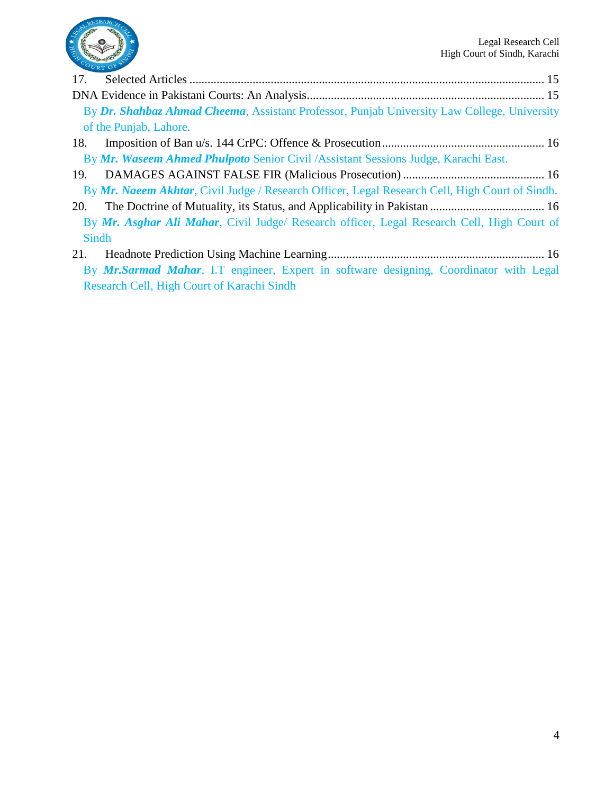

| 17.          |                                                                                                |  |  |  |  |  |  |  |
|--------------|------------------------------------------------------------------------------------------------|--|--|--|--|--|--|--|
|              |                                                                                                |  |  |  |  |  |  |  |
|              | By Dr. Shahbaz Ahmad Cheema, Assistant Professor, Punjab University Law College, University    |  |  |  |  |  |  |  |
|              | of the Punjab, Lahore.                                                                         |  |  |  |  |  |  |  |
| 18.          |                                                                                                |  |  |  |  |  |  |  |
|              | By Mr. Waseem Ahmed Phulpoto Senior Civil / Assistant Sessions Judge, Karachi East.            |  |  |  |  |  |  |  |
| 19.          |                                                                                                |  |  |  |  |  |  |  |
|              | By Mr. Naeem Akhtar, Civil Judge / Research Officer, Legal Research Cell, High Court of Sindh. |  |  |  |  |  |  |  |
| <b>20.</b>   |                                                                                                |  |  |  |  |  |  |  |
|              | By Mr. Asghar Ali Mahar, Civil Judge/ Research officer, Legal Research Cell, High Court of     |  |  |  |  |  |  |  |
| <b>Sindh</b> |                                                                                                |  |  |  |  |  |  |  |
| 21.          |                                                                                                |  |  |  |  |  |  |  |
|              |                                                                                                |  |  |  |  |  |  |  |

By *Mr.Sarmad Mahar*[, I.T engineer, Expert in software designing, Coordinator with Legal](#page-19-7)  [Research Cell, High Court of Karachi Sindh](#page-19-7)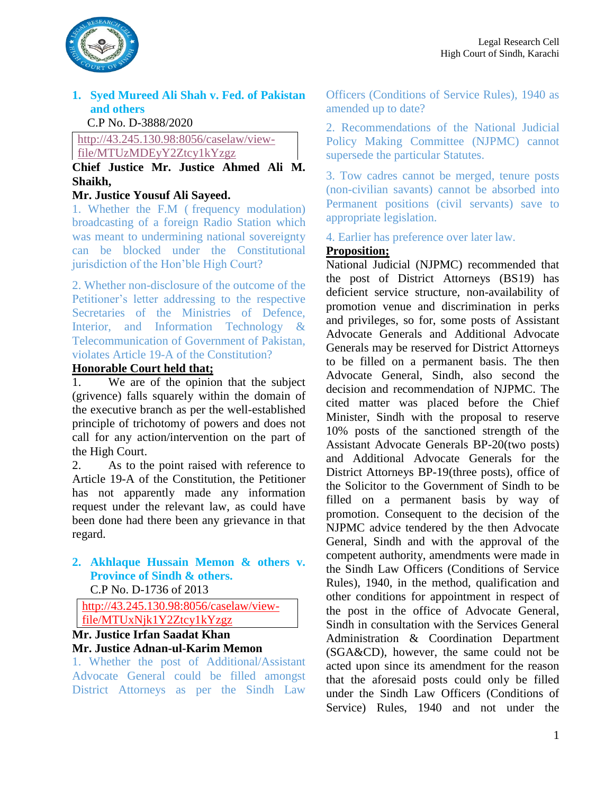

#### <span id="page-4-0"></span>**1. Syed Mureed Ali Shah v. Fed. of Pakistan and others**

#### C.P No. D-3888/2020

## [http://43.245.130.98:8056/caselaw/view-](http://43.245.130.98:8056/caselaw/view-file/MTUzMDEyY2Ztcy1kYzgz)

#### [file/MTUzMDEyY2Ztcy1kYzgz](http://43.245.130.98:8056/caselaw/view-file/MTUzMDEyY2Ztcy1kYzgz) **Chief Justice Mr. Justice Ahmed Ali M. Shaikh,**

#### **Mr. Justice Yousuf Ali Sayeed.**

<span id="page-4-1"></span>1. Whether the F.M ( frequency modulation) broadcasting of a foreign Radio Station which was meant to undermining national sovereignty can be blocked under the Constitutional jurisdiction of the Hon'ble High Court?

<span id="page-4-2"></span>2. Whether non-disclosure of the outcome of the Petitioner's letter addressing to the respective Secretaries of the Ministries of Defence, Interior, and Information Technology & Telecommunication of Government of Pakistan, violates Article 19-A of the Constitution?

#### **Honorable Court held that;**

1. We are of the opinion that the subject (grivence) falls squarely within the domain of the executive branch as per the well-established principle of trichotomy of powers and does not call for any action/intervention on the part of the High Court.

2. As to the point raised with reference to Article 19-A of the Constitution, the Petitioner has not apparently made any information request under the relevant law, as could have been done had there been any grievance in that regard.

### <span id="page-4-3"></span>**2. Akhlaque Hussain Memon & others v. Province of Sindh & others.**

C.P No. D-1736 of 2013

[http://43.245.130.98:8056/caselaw/view](http://43.245.130.98:8056/caselaw/view-file/MTUxNjk1Y2Ztcy1kYzgz)[file/MTUxNjk1Y2Ztcy1kYzgz](http://43.245.130.98:8056/caselaw/view-file/MTUxNjk1Y2Ztcy1kYzgz)

#### **Mr. Justice Irfan Saadat Khan Mr. Justice Adnan-ul-Karim Memon**

<span id="page-4-4"></span>1. Whether the post of Additional/Assistant Advocate General could be filled amongst District Attorneys as per the Sindh Law

Officers (Conditions of Service Rules), 1940 as amended up to date?

<span id="page-4-5"></span>2. Recommendations of the National Judicial Policy Making Committee (NJPMC) cannot supersede the particular Statutes.

<span id="page-4-6"></span>3. Tow cadres cannot be merged, tenure posts (non-civilian savants) cannot be absorbed into Permanent positions (civil servants) save to appropriate legislation.

<span id="page-4-7"></span>4. Earlier has preference over later law.

#### **Proposition;**

National Judicial (NJPMC) recommended that the post of District Attorneys (BS19) has deficient service structure, non-availability of promotion venue and discrimination in perks and privileges, so for, some posts of Assistant Advocate Generals and Additional Advocate Generals may be reserved for District Attorneys to be filled on a permanent basis. The then Advocate General, Sindh, also second the decision and recommendation of NJPMC. The cited matter was placed before the Chief Minister, Sindh with the proposal to reserve 10% posts of the sanctioned strength of the Assistant Advocate Generals BP-20(two posts) and Additional Advocate Generals for the District Attorneys BP-19(three posts), office of the Solicitor to the Government of Sindh to be filled on a permanent basis by way of promotion. Consequent to the decision of the NJPMC advice tendered by the then Advocate General, Sindh and with the approval of the competent authority, amendments were made in the Sindh Law Officers (Conditions of Service Rules), 1940, in the method, qualification and other conditions for appointment in respect of the post in the office of Advocate General, Sindh in consultation with the Services General Administration & Coordination Department (SGA&CD), however, the same could not be acted upon since its amendment for the reason that the aforesaid posts could only be filled under the Sindh Law Officers (Conditions of Service) Rules, 1940 and not under the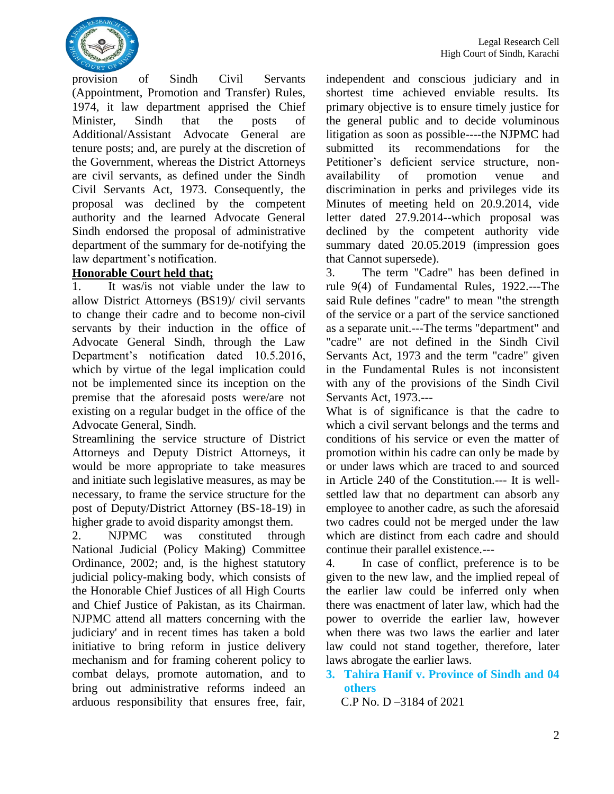

provision of Sindh Civil Servants (Appointment, Promotion and Transfer) Rules, 1974, it law department apprised the Chief Minister, Sindh that the posts of Additional/Assistant Advocate General are tenure posts; and, are purely at the discretion of the Government, whereas the District Attorneys are civil servants, as defined under the Sindh Civil Servants Act, 1973. Consequently, the proposal was declined by the competent authority and the learned Advocate General Sindh endorsed the proposal of administrative department of the summary for de-notifying the law department's notification.

#### **Honorable Court held that;**

1. It was/is not viable under the law to allow District Attorneys (BS19)/ civil servants to change their cadre and to become non-civil servants by their induction in the office of Advocate General Sindh, through the Law Department's notification dated 10.5.2016, which by virtue of the legal implication could not be implemented since its inception on the premise that the aforesaid posts were/are not existing on a regular budget in the office of the Advocate General, Sindh.

Streamlining the service structure of District Attorneys and Deputy District Attorneys, it would be more appropriate to take measures and initiate such legislative measures, as may be necessary, to frame the service structure for the post of Deputy/District Attorney (BS-18-19) in higher grade to avoid disparity amongst them.

2. NJPMC was constituted through National Judicial (Policy Making) Committee Ordinance, 2002; and, is the highest statutory judicial policy-making body, which consists of the Honorable Chief Justices of all High Courts and Chief Justice of Pakistan, as its Chairman. NJPMC attend all matters concerning with the judiciary' and in recent times has taken a bold initiative to bring reform in justice delivery mechanism and for framing coherent policy to combat delays, promote automation, and to bring out administrative reforms indeed an arduous responsibility that ensures free, fair,

independent and conscious judiciary and in shortest time achieved enviable results. Its primary objective is to ensure timely justice for the general public and to decide voluminous litigation as soon as possible----the NJPMC had submitted its recommendations for the Petitioner's deficient service structure, nonavailability of promotion venue and discrimination in perks and privileges vide its Minutes of meeting held on 20.9.2014, vide letter dated 27.9.2014--which proposal was declined by the competent authority vide summary dated 20.05.2019 (impression goes that Cannot supersede).

3. The term "Cadre" has been defined in rule 9(4) of Fundamental Rules, 1922.---The said Rule defines "cadre" to mean "the strength of the service or a part of the service sanctioned as a separate unit.---The terms "department" and "cadre" are not defined in the Sindh Civil Servants Act, 1973 and the term "cadre" given in the Fundamental Rules is not inconsistent with any of the provisions of the Sindh Civil Servants Act, 1973.---

What is of significance is that the cadre to which a civil servant belongs and the terms and conditions of his service or even the matter of promotion within his cadre can only be made by or under laws which are traced to and sourced in Article 240 of the Constitution.--- It is wellsettled law that no department can absorb any employee to another cadre, as such the aforesaid two cadres could not be merged under the law which are distinct from each cadre and should continue their parallel existence.---

4. In case of conflict, preference is to be given to the new law, and the implied repeal of the earlier law could be inferred only when there was enactment of later law, which had the power to override the earlier law, however when there was two laws the earlier and later law could not stand together, therefore, later laws abrogate the earlier laws.

<span id="page-5-0"></span>**3. Tahira Hanif v. Province of Sindh and 04 others**

C.P No. D –3184 of 2021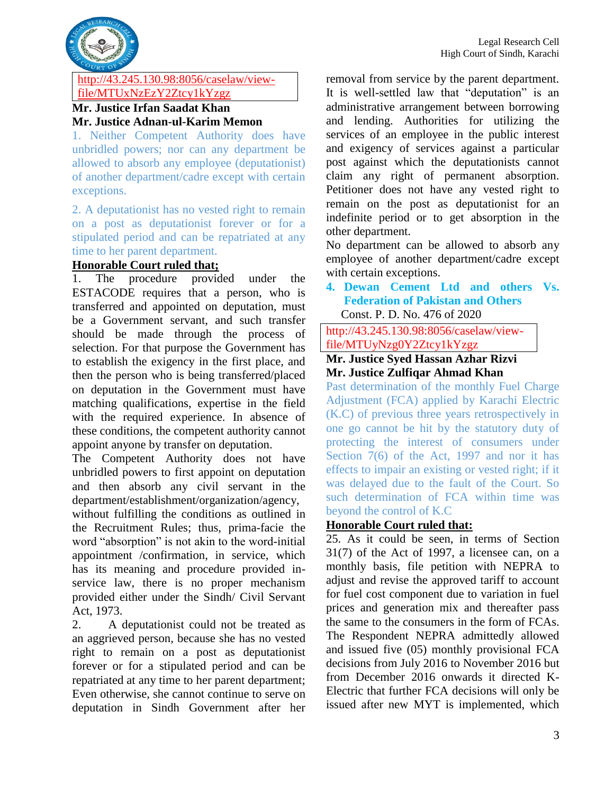

#### [http://43.245.130.98:8056/caselaw/view](http://43.245.130.98:8056/caselaw/view-file/MTUxNzEzY2Ztcy1kYzgz)[file/MTUxNzEzY2Ztcy1kYzgz](http://43.245.130.98:8056/caselaw/view-file/MTUxNzEzY2Ztcy1kYzgz)

#### **Mr. Justice Irfan Saadat Khan Mr. Justice Adnan-ul-Karim Memon**

<span id="page-6-0"></span>1. Neither Competent Authority does have unbridled powers; nor can any department be allowed to absorb any employee (deputationist) of another department/cadre except with certain exceptions.

<span id="page-6-1"></span>2. A deputationist has no vested right to remain on a post as deputationist forever or for a stipulated period and can be repatriated at any time to her parent department.

#### **Honorable Court ruled that;**

1. The procedure provided under the ESTACODE requires that a person, who is transferred and appointed on deputation, must be a Government servant, and such transfer should be made through the process of selection. For that purpose the Government has to establish the exigency in the first place, and then the person who is being transferred/placed on deputation in the Government must have matching qualifications, expertise in the field with the required experience. In absence of these conditions, the competent authority cannot appoint anyone by transfer on deputation.

The Competent Authority does not have unbridled powers to first appoint on deputation and then absorb any civil servant in the department/establishment/organization/agency,

without fulfilling the conditions as outlined in the Recruitment Rules; thus, prima-facie the word "absorption" is not akin to the word-initial appointment /confirmation, in service, which has its meaning and procedure provided inservice law, there is no proper mechanism provided either under the Sindh/ Civil Servant Act, 1973.

2. A deputationist could not be treated as an aggrieved person, because she has no vested right to remain on a post as deputationist forever or for a stipulated period and can be repatriated at any time to her parent department; Even otherwise, she cannot continue to serve on deputation in Sindh Government after her removal from service by the parent department. It is well-settled law that "deputation" is an administrative arrangement between borrowing and lending. Authorities for utilizing the services of an employee in the public interest and exigency of services against a particular post against which the deputationists cannot claim any right of permanent absorption. Petitioner does not have any vested right to remain on the post as deputationist for an indefinite period or to get absorption in the other department.

No department can be allowed to absorb any employee of another department/cadre except with certain exceptions.

#### <span id="page-6-2"></span>**4. Dewan Cement Ltd and others Vs. Federation of Pakistan and Others** Const. P. D. No. 476 of 2020

http://43.245.130.98:8056/caselaw/viewfile/MTUyNzg0Y2Ztcy1kYzgz

#### **Mr. Justice Syed Hassan Azhar Rizvi Mr. Justice Zulfiqar Ahmad Khan**

<span id="page-6-3"></span>Past determination of the monthly Fuel Charge Adjustment (FCA) applied by Karachi Electric (K.C) of previous three years retrospectively in one go cannot be hit by the statutory duty of protecting the interest of consumers under Section 7(6) of the Act, 1997 and nor it has effects to impair an existing or vested right; if it was delayed due to the fault of the Court. So such determination of FCA within time was beyond the control of K.C

#### **Honorable Court ruled that:**

25. As it could be seen, in terms of Section 31(7) of the Act of 1997, a licensee can, on a monthly basis, file petition with NEPRA to adjust and revise the approved tariff to account for fuel cost component due to variation in fuel prices and generation mix and thereafter pass the same to the consumers in the form of FCAs. The Respondent NEPRA admittedly allowed and issued five (05) monthly provisional FCA decisions from July 2016 to November 2016 but from December 2016 onwards it directed K-Electric that further FCA decisions will only be issued after new MYT is implemented, which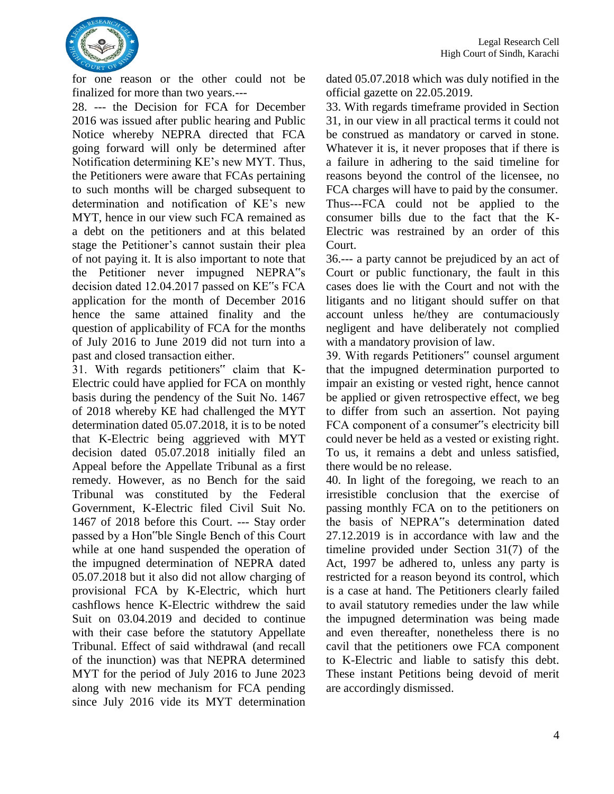

for one reason or the other could not be finalized for more than two years.---

28. --- the Decision for FCA for December 2016 was issued after public hearing and Public Notice whereby NEPRA directed that FCA going forward will only be determined after Notification determining KE's new MYT. Thus, the Petitioners were aware that FCAs pertaining to such months will be charged subsequent to determination and notification of KE's new MYT, hence in our view such FCA remained as a debt on the petitioners and at this belated stage the Petitioner's cannot sustain their plea of not paying it. It is also important to note that the Petitioner never impugned NEPRA"s decision dated 12.04.2017 passed on KE"s FCA application for the month of December 2016 hence the same attained finality and the question of applicability of FCA for the months of July 2016 to June 2019 did not turn into a past and closed transaction either.

31. With regards petitioners" claim that K-Electric could have applied for FCA on monthly basis during the pendency of the Suit No. 1467 of 2018 whereby KE had challenged the MYT determination dated 05.07.2018, it is to be noted that K-Electric being aggrieved with MYT decision dated 05.07.2018 initially filed an Appeal before the Appellate Tribunal as a first remedy. However, as no Bench for the said Tribunal was constituted by the Federal Government, K-Electric filed Civil Suit No. 1467 of 2018 before this Court. --- Stay order passed by a Hon"ble Single Bench of this Court while at one hand suspended the operation of the impugned determination of NEPRA dated 05.07.2018 but it also did not allow charging of provisional FCA by K-Electric, which hurt cashflows hence K-Electric withdrew the said Suit on 03.04.2019 and decided to continue with their case before the statutory Appellate Tribunal. Effect of said withdrawal (and recall of the inunction) was that NEPRA determined MYT for the period of July 2016 to June 2023 along with new mechanism for FCA pending since July 2016 vide its MYT determination dated 05.07.2018 which was duly notified in the official gazette on 22.05.2019.

33. With regards timeframe provided in Section 31, in our view in all practical terms it could not be construed as mandatory or carved in stone. Whatever it is, it never proposes that if there is a failure in adhering to the said timeline for reasons beyond the control of the licensee, no FCA charges will have to paid by the consumer. Thus---FCA could not be applied to the consumer bills due to the fact that the K-Electric was restrained by an order of this Court.

36.--- a party cannot be prejudiced by an act of Court or public functionary, the fault in this cases does lie with the Court and not with the litigants and no litigant should suffer on that account unless he/they are contumaciously negligent and have deliberately not complied with a mandatory provision of law.

39. With regards Petitioners" counsel argument that the impugned determination purported to impair an existing or vested right, hence cannot be applied or given retrospective effect, we beg to differ from such an assertion. Not paying FCA component of a consumer"s electricity bill could never be held as a vested or existing right. To us, it remains a debt and unless satisfied, there would be no release.

40. In light of the foregoing, we reach to an irresistible conclusion that the exercise of passing monthly FCA on to the petitioners on the basis of NEPRA"s determination dated 27.12.2019 is in accordance with law and the timeline provided under Section 31(7) of the Act, 1997 be adhered to, unless any party is restricted for a reason beyond its control, which is a case at hand. The Petitioners clearly failed to avail statutory remedies under the law while the impugned determination was being made and even thereafter, nonetheless there is no cavil that the petitioners owe FCA component to K-Electric and liable to satisfy this debt. These instant Petitions being devoid of merit are accordingly dismissed.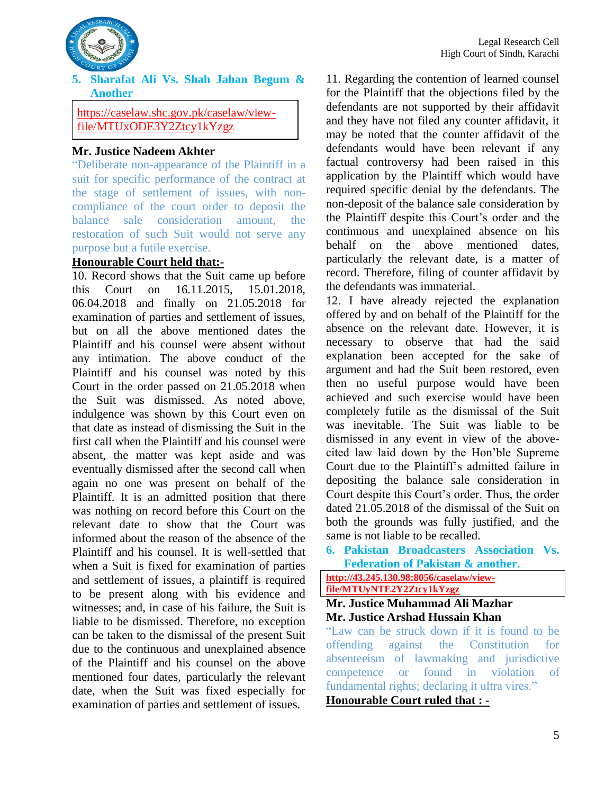

<span id="page-8-0"></span>**5. Sharafat Ali Vs. Shah Jahan Begum & Another** 

https://caselaw.shc.gov.pk/caselaw/viewfile/MTUxODE3Y2Ztcy1kYzgz

#### **Mr. Justice Nadeem Akhter**

<span id="page-8-1"></span>"Deliberate non-appearance of the Plaintiff in a suit for specific performance of the contract at the stage of settlement of issues, with noncompliance of the court order to deposit the balance sale consideration amount, the restoration of such Suit would not serve any purpose but a futile exercise.

#### **Honourable Court held that:-**

10. Record shows that the Suit came up before this Court on 16.11.2015, 15.01.2018, 06.04.2018 and finally on 21.05.2018 for examination of parties and settlement of issues, but on all the above mentioned dates the Plaintiff and his counsel were absent without any intimation. The above conduct of the Plaintiff and his counsel was noted by this Court in the order passed on 21.05.2018 when the Suit was dismissed. As noted above, indulgence was shown by this Court even on that date as instead of dismissing the Suit in the first call when the Plaintiff and his counsel were absent, the matter was kept aside and was eventually dismissed after the second call when again no one was present on behalf of the Plaintiff. It is an admitted position that there was nothing on record before this Court on the relevant date to show that the Court was informed about the reason of the absence of the Plaintiff and his counsel. It is well-settled that when a Suit is fixed for examination of parties and settlement of issues, a plaintiff is required to be present along with his evidence and witnesses; and, in case of his failure, the Suit is liable to be dismissed. Therefore, no exception can be taken to the dismissal of the present Suit due to the continuous and unexplained absence of the Plaintiff and his counsel on the above mentioned four dates, particularly the relevant date, when the Suit was fixed especially for examination of parties and settlement of issues.

11. Regarding the contention of learned counsel for the Plaintiff that the objections filed by the defendants are not supported by their affidavit and they have not filed any counter affidavit, it may be noted that the counter affidavit of the defendants would have been relevant if any factual controversy had been raised in this application by the Plaintiff which would have required specific denial by the defendants. The non-deposit of the balance sale consideration by the Plaintiff despite this Court's order and the continuous and unexplained absence on his behalf on the above mentioned dates, particularly the relevant date, is a matter of record. Therefore, filing of counter affidavit by the defendants was immaterial.

12. I have already rejected the explanation offered by and on behalf of the Plaintiff for the absence on the relevant date. However, it is necessary to observe that had the said explanation been accepted for the sake of argument and had the Suit been restored, even then no useful purpose would have been achieved and such exercise would have been completely futile as the dismissal of the Suit was inevitable. The Suit was liable to be dismissed in any event in view of the abovecited law laid down by the Hon'ble Supreme Court due to the Plaintiff's admitted failure in depositing the balance sale consideration in Court despite this Court's order. Thus, the order dated 21.05.2018 of the dismissal of the Suit on both the grounds was fully justified, and the same is not liable to be recalled.

<span id="page-8-2"></span>**6. Pakistan Broadcasters Association Vs. Federation of Pakistan & another.** 

#### **[http://43.245.130.98:8056/caselaw/view](http://43.245.130.98:8056/caselaw/view-file/MTUyNTE2Y2Ztcy1kYzgz)[file/MTUyNTE2Y2Ztcy1kYzgz](http://43.245.130.98:8056/caselaw/view-file/MTUyNTE2Y2Ztcy1kYzgz)**

#### **Mr. Justice Muhammad Ali Mazhar Mr. Justice Arshad Hussain Khan**

<span id="page-8-3"></span>"Law can be struck down if it is found to be offending against the Constitution for absenteeism of lawmaking and jurisdictive competence or found in violation of fundamental rights; declaring it ultra vires."

**Honourable Court ruled that : -**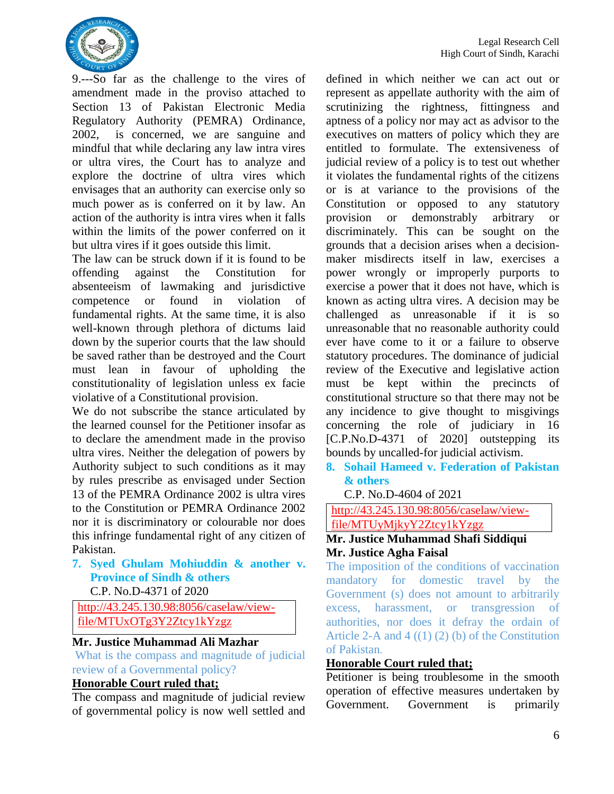

9.---So far as the challenge to the vires of amendment made in the proviso attached to Section 13 of Pakistan Electronic Media Regulatory Authority (PEMRA) Ordinance, 2002, is concerned, we are sanguine and mindful that while declaring any law intra vires or ultra vires, the Court has to analyze and explore the doctrine of ultra vires which envisages that an authority can exercise only so much power as is conferred on it by law. An action of the authority is intra vires when it falls within the limits of the power conferred on it but ultra vires if it goes outside this limit.

The law can be struck down if it is found to be offending against the Constitution for absenteeism of lawmaking and jurisdictive competence or found in violation of fundamental rights. At the same time, it is also well-known through plethora of dictums laid down by the superior courts that the law should be saved rather than be destroyed and the Court must lean in favour of upholding the constitutionality of legislation unless ex facie violative of a Constitutional provision.

We do not subscribe the stance articulated by the learned counsel for the Petitioner insofar as to declare the amendment made in the proviso ultra vires. Neither the delegation of powers by Authority subject to such conditions as it may by rules prescribe as envisaged under Section 13 of the PEMRA Ordinance 2002 is ultra vires to the Constitution or PEMRA Ordinance 2002 nor it is discriminatory or colourable nor does this infringe fundamental right of any citizen of Pakistan.

<span id="page-9-0"></span>**7. Syed Ghulam Mohiuddin & another v. Province of Sindh & others** C.P. No.D-4371 of 2020

[http://43.245.130.98:8056/caselaw/view](http://43.245.130.98:8056/caselaw/view-file/MTUxOTg3Y2Ztcy1kYzgz)[file/MTUxOTg3Y2Ztcy1kYzgz](http://43.245.130.98:8056/caselaw/view-file/MTUxOTg3Y2Ztcy1kYzgz)

#### **Mr. Justice Muhammad Ali Mazhar**

<span id="page-9-1"></span>What is the compass and magnitude of judicial review of a Governmental policy?

#### **Honorable Court ruled that;**

The compass and magnitude of judicial review of governmental policy is now well settled and defined in which neither we can act out or represent as appellate authority with the aim of scrutinizing the rightness, fittingness and aptness of a policy nor may act as advisor to the executives on matters of policy which they are entitled to formulate. The extensiveness of judicial review of a policy is to test out whether it violates the fundamental rights of the citizens or is at variance to the provisions of the Constitution or opposed to any statutory provision or demonstrably arbitrary or discriminately. This can be sought on the grounds that a decision arises when a decisionmaker misdirects itself in law, exercises a power wrongly or improperly purports to exercise a power that it does not have, which is known as acting ultra vires. A decision may be challenged as unreasonable if it is so unreasonable that no reasonable authority could ever have come to it or a failure to observe statutory procedures. The dominance of judicial review of the Executive and legislative action must be kept within the precincts of constitutional structure so that there may not be any incidence to give thought to misgivings concerning the role of judiciary in 16 [C.P.No.D-4371 of 2020] outstepping its bounds by uncalled-for judicial activism.

<span id="page-9-2"></span>**8. Sohail Hameed v. Federation of Pakistan & others**

C.P. No.D-4604 of 2021

[http://43.245.130.98:8056/caselaw/view](http://43.245.130.98:8056/caselaw/view-file/MTUyMjkyY2Ztcy1kYzgz)[file/MTUyMjkyY2Ztcy1kYzgz](http://43.245.130.98:8056/caselaw/view-file/MTUyMjkyY2Ztcy1kYzgz)

#### **Mr. Justice Muhammad Shafi Siddiqui Mr. Justice Agha Faisal**

<span id="page-9-3"></span>The imposition of the conditions of vaccination mandatory for domestic travel by the Government (s) does not amount to arbitrarily excess, harassment, or transgression of authorities, nor does it defray the ordain of Article 2-A and  $4((1)(2)(b))$  of the Constitution of Pakistan.

#### **Honorable Court ruled that;**

Petitioner is being troublesome in the smooth operation of effective measures undertaken by Government. Government is primarily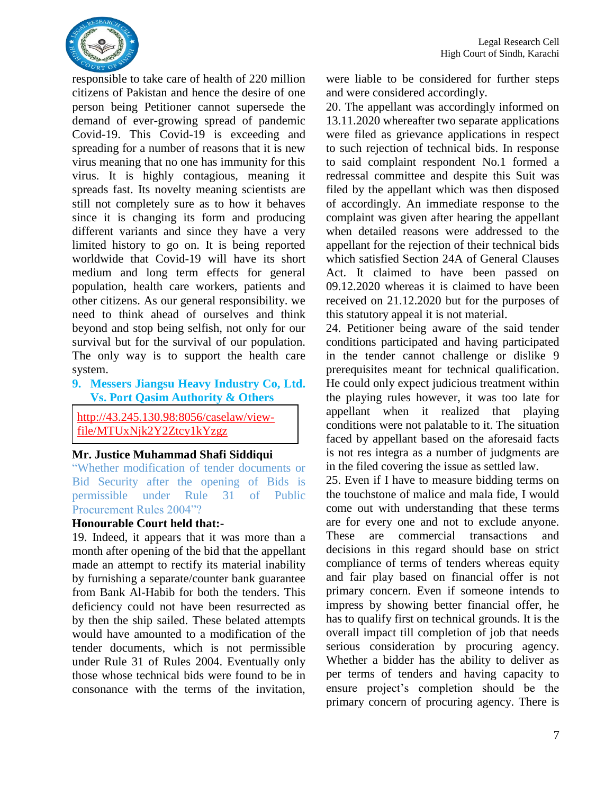

responsible to take care of health of 220 million citizens of Pakistan and hence the desire of one person being Petitioner cannot supersede the demand of ever-growing spread of pandemic Covid-19. This Covid-19 is exceeding and spreading for a number of reasons that it is new virus meaning that no one has immunity for this virus. It is highly contagious, meaning it spreads fast. Its novelty meaning scientists are still not completely sure as to how it behaves since it is changing its form and producing different variants and since they have a very limited history to go on. It is being reported worldwide that Covid-19 will have its short medium and long term effects for general population, health care workers, patients and other citizens. As our general responsibility. we need to think ahead of ourselves and think beyond and stop being selfish, not only for our survival but for the survival of our population. The only way is to support the health care system.

<span id="page-10-0"></span>**9. Messers Jiangsu Heavy Industry Co, Ltd. Vs. Port Qasim Authority & Others** 

http://43.245.130.98:8056/caselaw/viewfile/MTUxNjk2Y2Ztcy1kYzgz

#### **Mr. Justice Muhammad Shafi Siddiqui**

<span id="page-10-1"></span>"Whether modification of tender documents or Bid Security after the opening of Bids is permissible under Rule 31 of Public Procurement Rules 2004"?

#### **Honourable Court held that:-**

19. Indeed, it appears that it was more than a month after opening of the bid that the appellant made an attempt to rectify its material inability by furnishing a separate/counter bank guarantee from Bank Al-Habib for both the tenders. This deficiency could not have been resurrected as by then the ship sailed. These belated attempts would have amounted to a modification of the tender documents, which is not permissible under Rule 31 of Rules 2004. Eventually only those whose technical bids were found to be in consonance with the terms of the invitation,

were liable to be considered for further steps and were considered accordingly.

20. The appellant was accordingly informed on 13.11.2020 whereafter two separate applications were filed as grievance applications in respect to such rejection of technical bids. In response to said complaint respondent No.1 formed a redressal committee and despite this Suit was filed by the appellant which was then disposed of accordingly. An immediate response to the complaint was given after hearing the appellant when detailed reasons were addressed to the appellant for the rejection of their technical bids which satisfied Section 24A of General Clauses Act. It claimed to have been passed on 09.12.2020 whereas it is claimed to have been received on 21.12.2020 but for the purposes of this statutory appeal it is not material.

24. Petitioner being aware of the said tender conditions participated and having participated in the tender cannot challenge or dislike 9 prerequisites meant for technical qualification. He could only expect judicious treatment within the playing rules however, it was too late for appellant when it realized that playing conditions were not palatable to it. The situation faced by appellant based on the aforesaid facts is not res integra as a number of judgments are in the filed covering the issue as settled law.

25. Even if I have to measure bidding terms on the touchstone of malice and mala fide, I would come out with understanding that these terms are for every one and not to exclude anyone. These are commercial transactions and decisions in this regard should base on strict compliance of terms of tenders whereas equity and fair play based on financial offer is not primary concern. Even if someone intends to impress by showing better financial offer, he has to qualify first on technical grounds. It is the overall impact till completion of job that needs serious consideration by procuring agency. Whether a bidder has the ability to deliver as per terms of tenders and having capacity to ensure project's completion should be the primary concern of procuring agency. There is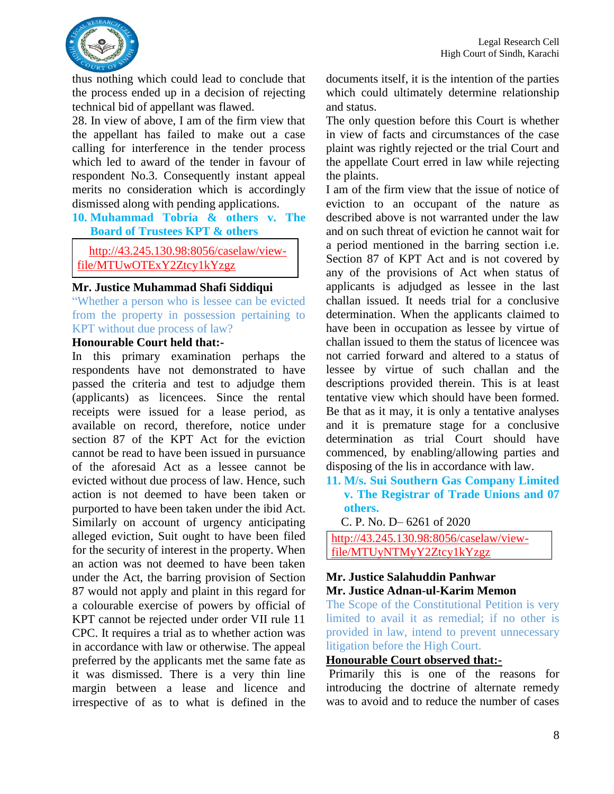

thus nothing which could lead to conclude that the process ended up in a decision of rejecting technical bid of appellant was flawed.

28. In view of above, I am of the firm view that the appellant has failed to make out a case calling for interference in the tender process which led to award of the tender in favour of respondent No.3. Consequently instant appeal merits no consideration which is accordingly dismissed along with pending applications.

#### <span id="page-11-0"></span>**10. Muhammad Tobria & others v. The Board of Trustees KPT & others**

http://43.245.130.98:8056/caselaw/viewfile/MTUwOTExY2Ztcy1kYzgz

#### **Mr. Justice Muhammad Shafi Siddiqui**

<span id="page-11-1"></span>"Whether a person who is lessee can be evicted from the property in possession pertaining to KPT without due process of law?

#### **Honourable Court held that:-**

In this primary examination perhaps the respondents have not demonstrated to have passed the criteria and test to adjudge them (applicants) as licencees. Since the rental receipts were issued for a lease period, as available on record, therefore, notice under section 87 of the KPT Act for the eviction cannot be read to have been issued in pursuance of the aforesaid Act as a lessee cannot be evicted without due process of law. Hence, such action is not deemed to have been taken or purported to have been taken under the ibid Act. Similarly on account of urgency anticipating alleged eviction, Suit ought to have been filed for the security of interest in the property. When an action was not deemed to have been taken under the Act, the barring provision of Section 87 would not apply and plaint in this regard for a colourable exercise of powers by official of KPT cannot be rejected under order VII rule 11 CPC. It requires a trial as to whether action was in accordance with law or otherwise. The appeal preferred by the applicants met the same fate as it was dismissed. There is a very thin line margin between a lease and licence and irrespective of as to what is defined in the

documents itself, it is the intention of the parties which could ultimately determine relationship and status.

The only question before this Court is whether in view of facts and circumstances of the case plaint was rightly rejected or the trial Court and the appellate Court erred in law while rejecting the plaints.

I am of the firm view that the issue of notice of eviction to an occupant of the nature as described above is not warranted under the law and on such threat of eviction he cannot wait for a period mentioned in the barring section i.e. Section 87 of KPT Act and is not covered by any of the provisions of Act when status of applicants is adjudged as lessee in the last challan issued. It needs trial for a conclusive determination. When the applicants claimed to have been in occupation as lessee by virtue of challan issued to them the status of licencee was not carried forward and altered to a status of lessee by virtue of such challan and the descriptions provided therein. This is at least tentative view which should have been formed. Be that as it may, it is only a tentative analyses and it is premature stage for a conclusive determination as trial Court should have commenced, by enabling/allowing parties and disposing of the lis in accordance with law.

#### <span id="page-11-2"></span>**11. M/s. Sui Southern Gas Company Limited v. The Registrar of Trade Unions and 07 others.**

C. P. No. D– 6261 of 2020

[http://43.245.130.98:8056/caselaw/view](http://43.245.130.98:8056/caselaw/view-file/MTUyNTMyY2Ztcy1kYzgz)[file/MTUyNTMyY2Ztcy1kYzgz](http://43.245.130.98:8056/caselaw/view-file/MTUyNTMyY2Ztcy1kYzgz)

#### **Mr. Justice Salahuddin Panhwar Mr. Justice Adnan-ul-Karim Memon**

<span id="page-11-3"></span>The Scope of the Constitutional Petition is very limited to avail it as remedial; if no other is provided in law, intend to prevent unnecessary litigation before the High Court.

#### **Honourable Court observed that:-**

Primarily this is one of the reasons for introducing the doctrine of alternate remedy was to avoid and to reduce the number of cases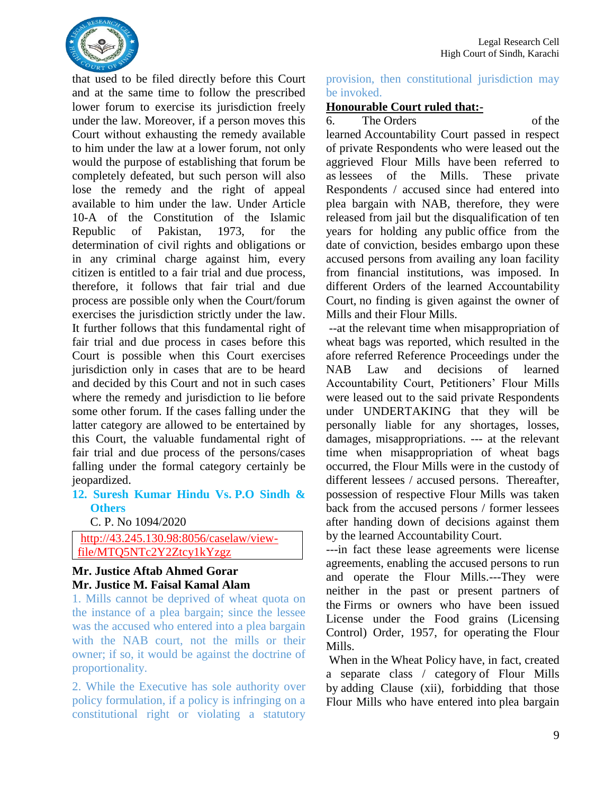

that used to be filed directly before this Court and at the same time to follow the prescribed lower forum to exercise its jurisdiction freely under the law. Moreover, if a person moves this Court without exhausting the remedy available to him under the law at a lower forum, not only would the purpose of establishing that forum be completely defeated, but such person will also lose the remedy and the right of appeal available to him under the law. Under Article 10-A of the Constitution of the Islamic Republic of Pakistan, 1973, for the determination of civil rights and obligations or in any criminal charge against him, every citizen is entitled to a fair trial and due process, therefore, it follows that fair trial and due process are possible only when the Court/forum exercises the jurisdiction strictly under the law. It further follows that this fundamental right of fair trial and due process in cases before this Court is possible when this Court exercises jurisdiction only in cases that are to be heard and decided by this Court and not in such cases where the remedy and jurisdiction to lie before some other forum. If the cases falling under the latter category are allowed to be entertained by this Court, the valuable fundamental right of fair trial and due process of the persons/cases falling under the formal category certainly be jeopardized.

#### <span id="page-12-0"></span>**12. Suresh Kumar Hindu Vs. P.O Sindh & Others**

C. P. No 1094/2020

[http://43.245.130.98:8056/caselaw/view](http://43.245.130.98:8056/caselaw/view-file/MTQ5NTc2Y2Ztcy1kYzgz)[file/MTQ5NTc2Y2Ztcy1kYzgz](http://43.245.130.98:8056/caselaw/view-file/MTQ5NTc2Y2Ztcy1kYzgz)

#### **Mr. Justice Aftab Ahmed Gorar Mr. Justice M. Faisal Kamal Alam**

<span id="page-12-1"></span>1. Mills cannot be deprived of wheat quota on the instance of a plea bargain; since the lessee was the accused who entered into a plea bargain with the NAB court, not the mills or their owner; if so, it would be against the doctrine of proportionality.

<span id="page-12-2"></span>2. While the Executive has sole authority over policy formulation, if a policy is infringing on a constitutional right or violating a statutory

provision, then constitutional jurisdiction may be invoked.

#### **Honourable Court ruled that:-**

6. The Orders of the learned Accountability Court passed in respect of private Respondents who were leased out the aggrieved Flour Mills have been referred to as lessees of the Mills. These private Respondents / accused since had entered into plea bargain with NAB, therefore, they were released from jail but the disqualification of ten years for holding any public office from the date of conviction, besides embargo upon these accused persons from availing any loan facility from financial institutions, was imposed. In different Orders of the learned Accountability Court, no finding is given against the owner of Mills and their Flour Mills.

--at the relevant time when misappropriation of wheat bags was reported, which resulted in the afore referred Reference Proceedings under the NAB Law and decisions of learned Accountability Court, Petitioners' Flour Mills were leased out to the said private Respondents under UNDERTAKING that they will be personally liable for any shortages, losses, damages, misappropriations. --- at the relevant time when misappropriation of wheat bags occurred, the Flour Mills were in the custody of different lessees / accused persons. Thereafter, possession of respective Flour Mills was taken back from the accused persons / former lessees after handing down of decisions against them by the learned Accountability Court.

---in fact these lease agreements were license agreements, enabling the accused persons to run and operate the Flour Mills.---They were neither in the past or present partners of the Firms or owners who have been issued License under the Food grains (Licensing Control) Order, 1957, for operating the Flour Mills.

When in the Wheat Policy have, in fact, created a separate class / category of Flour Mills by adding Clause (xii), forbidding that those Flour Mills who have entered into plea bargain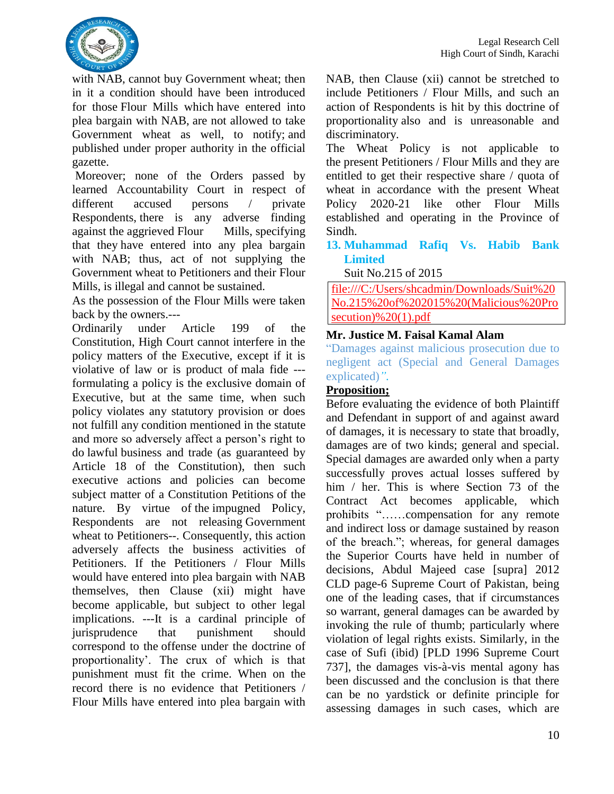

with NAB, cannot buy Government wheat; then in it a condition should have been introduced for those Flour Mills which have entered into plea bargain with NAB, are not allowed to take Government wheat as well, to notify; and published under proper authority in the official gazette.

Moreover; none of the Orders passed by learned Accountability Court in respect of different accused persons / private Respondents, there is any adverse finding against the aggrieved Flour Mills, specifying that they have entered into any plea bargain with NAB; thus, act of not supplying the Government wheat to Petitioners and their Flour Mills, is illegal and cannot be sustained.

As the possession of the Flour Mills were taken back by the owners.---

Ordinarily under Article 199 of the Constitution, High Court cannot interfere in the policy matters of the Executive, except if it is violative of law or is product of mala fide -- formulating a policy is the exclusive domain of Executive, but at the same time, when such policy violates any statutory provision or does not fulfill any condition mentioned in the statute and more so adversely affect a person's right to do lawful business and trade (as guaranteed by Article 18 of the Constitution), then such executive actions and policies can become subject matter of a Constitution Petitions of the nature. By virtue of the impugned Policy, Respondents are not releasing Government wheat to Petitioners--. Consequently, this action adversely affects the business activities of Petitioners. If the Petitioners / Flour Mills would have entered into plea bargain with NAB themselves, then Clause (xii) might have become applicable, but subject to other legal implications. ---It is a cardinal principle of jurisprudence that punishment should correspond to the offense under the doctrine of proportionality'. The crux of which is that punishment must fit the crime. When on the record there is no evidence that Petitioners / Flour Mills have entered into plea bargain with NAB, then Clause (xii) cannot be stretched to include Petitioners / Flour Mills, and such an action of Respondents is hit by this doctrine of proportionality also and is unreasonable and discriminatory.

The Wheat Policy is not applicable to the present Petitioners / Flour Mills and they are entitled to get their respective share / quota of wheat in accordance with the present Wheat Policy 2020-21 like other Flour Mills established and operating in the Province of Sindh.

<span id="page-13-0"></span>**13. Muhammad Rafiq Vs. Habib Bank Limited**

Suit No.215 of 2015

[file:///C:/Users/shcadmin/Downloads/Suit%20](file:///C:/Users/shcadmin/Downloads/Suit%20No.215%20of%202015%20(Malicious%20Prosecution)%20(1).pdf) [No.215%20of%202015%20\(Malicious%20Pro](file:///C:/Users/shcadmin/Downloads/Suit%20No.215%20of%202015%20(Malicious%20Prosecution)%20(1).pdf) [secution\)%20\(1\).pdf](file:///C:/Users/shcadmin/Downloads/Suit%20No.215%20of%202015%20(Malicious%20Prosecution)%20(1).pdf)

#### **Mr. Justice M. Faisal Kamal Alam**

<span id="page-13-1"></span>"Damages against malicious prosecution due to negligent act (Special and General Damages explicated)*".* 

#### **Proposition;**

Before evaluating the evidence of both Plaintiff and Defendant in support of and against award of damages, it is necessary to state that broadly, damages are of two kinds; general and special. Special damages are awarded only when a party successfully proves actual losses suffered by him / her. This is where Section 73 of the Contract Act becomes applicable, which prohibits "……compensation for any remote and indirect loss or damage sustained by reason of the breach."; whereas, for general damages the Superior Courts have held in number of decisions, Abdul Majeed case [supra] 2012 CLD page-6 Supreme Court of Pakistan, being one of the leading cases, that if circumstances so warrant, general damages can be awarded by invoking the rule of thumb; particularly where violation of legal rights exists. Similarly, in the case of Sufi (ibid) [PLD 1996 Supreme Court 737], the damages vis-à-vis mental agony has been discussed and the conclusion is that there can be no yardstick or definite principle for assessing damages in such cases, which are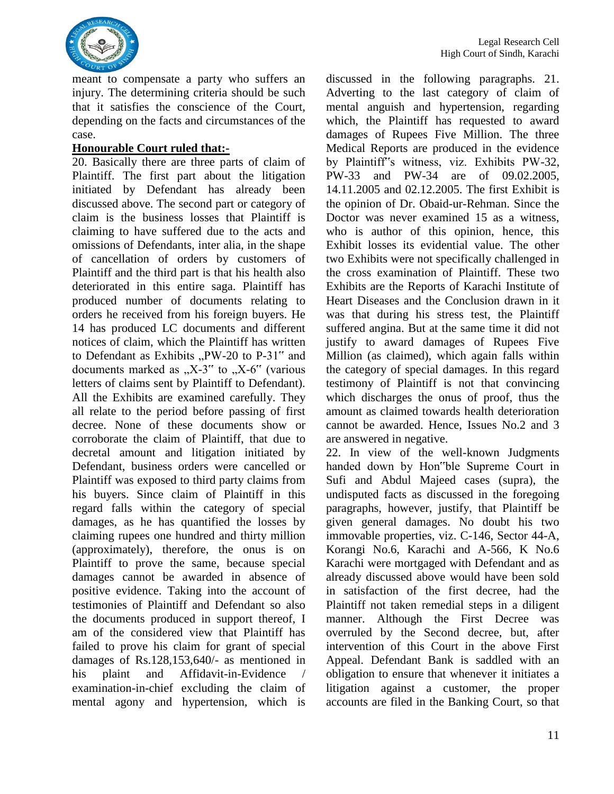

meant to compensate a party who suffers an injury. The determining criteria should be such that it satisfies the conscience of the Court, depending on the facts and circumstances of the case.

#### **Honourable Court ruled that:-**

20. Basically there are three parts of claim of Plaintiff. The first part about the litigation initiated by Defendant has already been discussed above. The second part or category of claim is the business losses that Plaintiff is claiming to have suffered due to the acts and omissions of Defendants, inter alia, in the shape of cancellation of orders by customers of Plaintiff and the third part is that his health also deteriorated in this entire saga. Plaintiff has produced number of documents relating to orders he received from his foreign buyers. He 14 has produced LC documents and different notices of claim, which the Plaintiff has written to Defendant as Exhibits "PW-20 to  $P-31$ " and documents marked as  $X-3$ " to  $X-6$ " (various letters of claims sent by Plaintiff to Defendant). All the Exhibits are examined carefully. They all relate to the period before passing of first decree. None of these documents show or corroborate the claim of Plaintiff, that due to decretal amount and litigation initiated by Defendant, business orders were cancelled or Plaintiff was exposed to third party claims from his buyers. Since claim of Plaintiff in this regard falls within the category of special damages, as he has quantified the losses by claiming rupees one hundred and thirty million (approximately), therefore, the onus is on Plaintiff to prove the same, because special damages cannot be awarded in absence of positive evidence. Taking into the account of testimonies of Plaintiff and Defendant so also the documents produced in support thereof, I am of the considered view that Plaintiff has failed to prove his claim for grant of special damages of Rs.128,153,640/- as mentioned in his plaint and Affidavit-in-Evidence / examination-in-chief excluding the claim of mental agony and hypertension, which is

discussed in the following paragraphs. 21. Adverting to the last category of claim of mental anguish and hypertension, regarding which, the Plaintiff has requested to award damages of Rupees Five Million. The three Medical Reports are produced in the evidence by Plaintiff"s witness, viz. Exhibits PW-32, PW-33 and PW-34 are of 09.02.2005, 14.11.2005 and 02.12.2005. The first Exhibit is the opinion of Dr. Obaid-ur-Rehman. Since the Doctor was never examined 15 as a witness, who is author of this opinion, hence, this Exhibit losses its evidential value. The other two Exhibits were not specifically challenged in the cross examination of Plaintiff. These two Exhibits are the Reports of Karachi Institute of Heart Diseases and the Conclusion drawn in it was that during his stress test, the Plaintiff suffered angina. But at the same time it did not justify to award damages of Rupees Five Million (as claimed), which again falls within the category of special damages. In this regard testimony of Plaintiff is not that convincing which discharges the onus of proof, thus the amount as claimed towards health deterioration cannot be awarded. Hence, Issues No.2 and 3 are answered in negative.

22. In view of the well-known Judgments handed down by Hon"ble Supreme Court in Sufi and Abdul Majeed cases (supra), the undisputed facts as discussed in the foregoing paragraphs, however, justify, that Plaintiff be given general damages. No doubt his two immovable properties, viz. C-146, Sector 44-A, Korangi No.6, Karachi and A-566, K No.6 Karachi were mortgaged with Defendant and as already discussed above would have been sold in satisfaction of the first decree, had the Plaintiff not taken remedial steps in a diligent manner. Although the First Decree was overruled by the Second decree, but, after intervention of this Court in the above First Appeal. Defendant Bank is saddled with an obligation to ensure that whenever it initiates a litigation against a customer, the proper accounts are filed in the Banking Court, so that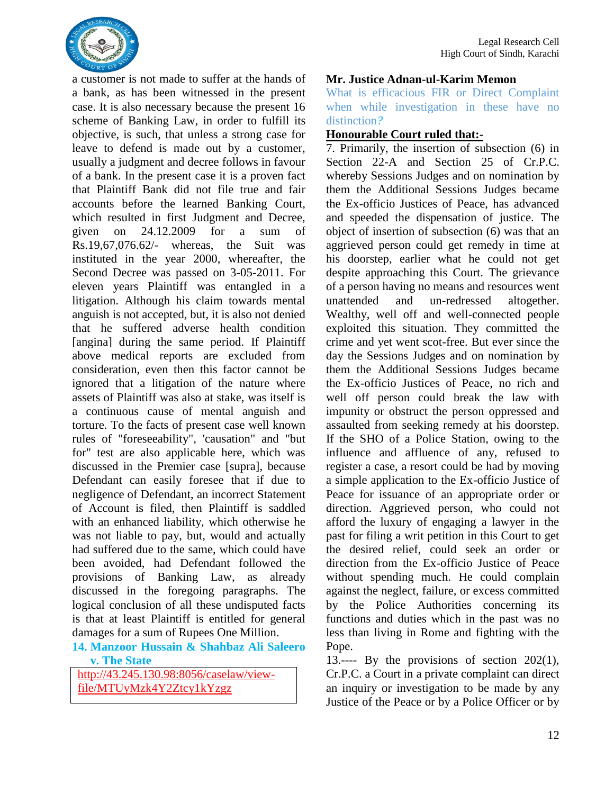

a customer is not made to suffer at the hands of a bank, as has been witnessed in the present case. It is also necessary because the present 16 scheme of Banking Law, in order to fulfill its objective, is such, that unless a strong case for leave to defend is made out by a customer, usually a judgment and decree follows in favour of a bank. In the present case it is a proven fact that Plaintiff Bank did not file true and fair accounts before the learned Banking Court, which resulted in first Judgment and Decree, given on 24.12.2009 for a sum of Rs.19,67,076.62/- whereas, the Suit was instituted in the year 2000, whereafter, the Second Decree was passed on 3-05-2011. For eleven years Plaintiff was entangled in a litigation. Although his claim towards mental anguish is not accepted, but, it is also not denied that he suffered adverse health condition [angina] during the same period. If Plaintiff above medical reports are excluded from consideration, even then this factor cannot be ignored that a litigation of the nature where assets of Plaintiff was also at stake, was itself is a continuous cause of mental anguish and torture. To the facts of present case well known rules of "foreseeability", 'causation" and "but for" test are also applicable here, which was discussed in the Premier case [supra], because Defendant can easily foresee that if due to negligence of Defendant, an incorrect Statement of Account is filed, then Plaintiff is saddled with an enhanced liability, which otherwise he was not liable to pay, but, would and actually had suffered due to the same, which could have been avoided, had Defendant followed the provisions of Banking Law, as already discussed in the foregoing paragraphs. The logical conclusion of all these undisputed facts is that at least Plaintiff is entitled for general damages for a sum of Rupees One Million.

<span id="page-15-0"></span>**14. Manzoor Hussain & Shahbaz Ali Saleero v. The State**

[http://43.245.130.98:8056/caselaw/view](http://43.245.130.98:8056/caselaw/view-file/MTUyMzk4Y2Ztcy1kYzgz)[file/MTUyMzk4Y2Ztcy1kYzgz](http://43.245.130.98:8056/caselaw/view-file/MTUyMzk4Y2Ztcy1kYzgz)

#### **Mr. Justice Adnan-ul-Karim Memon**

<span id="page-15-1"></span>What is efficacious FIR or Direct Complaint when while investigation in these have no distinction*?*

#### **Honourable Court ruled that:-**

7. Primarily, the insertion of subsection (6) in Section 22-A and Section 25 of Cr.P.C. whereby Sessions Judges and on nomination by them the Additional Sessions Judges became the Ex-officio Justices of Peace, has advanced and speeded the dispensation of justice. The object of insertion of subsection (6) was that an aggrieved person could get remedy in time at his doorstep, earlier what he could not get despite approaching this Court. The grievance of a person having no means and resources went unattended and un-redressed altogether. Wealthy, well off and well-connected people exploited this situation. They committed the crime and yet went scot-free. But ever since the day the Sessions Judges and on nomination by them the Additional Sessions Judges became the Ex-officio Justices of Peace, no rich and well off person could break the law with impunity or obstruct the person oppressed and assaulted from seeking remedy at his doorstep. If the SHO of a Police Station, owing to the influence and affluence of any, refused to register a case, a resort could be had by moving a simple application to the Ex-officio Justice of Peace for issuance of an appropriate order or direction. Aggrieved person, who could not afford the luxury of engaging a lawyer in the past for filing a writ petition in this Court to get the desired relief, could seek an order or direction from the Ex-officio Justice of Peace without spending much. He could complain against the neglect, failure, or excess committed by the Police Authorities concerning its functions and duties which in the past was no less than living in Rome and fighting with the Pope.

13.---- By the provisions of section 202(1), Cr.P.C. a Court in a private complaint can direct an inquiry or investigation to be made by any Justice of the Peace or by a Police Officer or by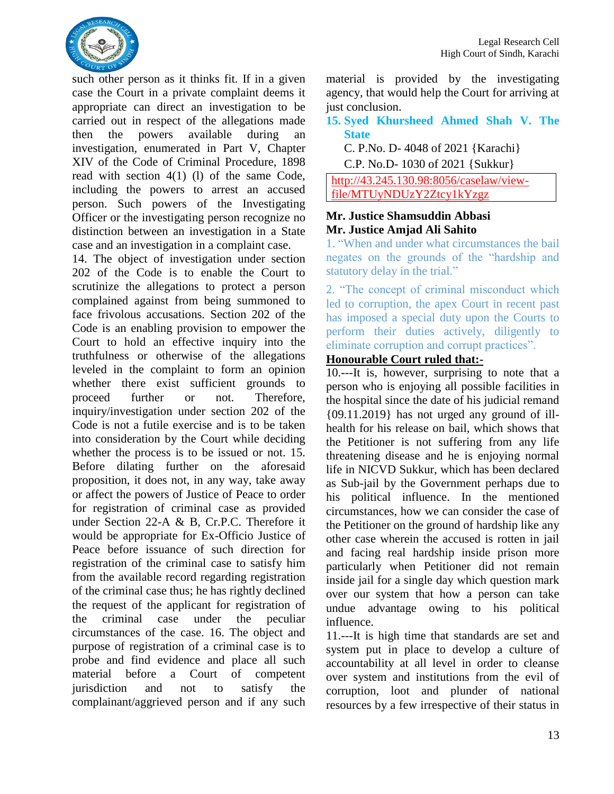

such other person as it thinks fit. If in a given case the Court in a private complaint deems it appropriate can direct an investigation to be carried out in respect of the allegations made then the powers available during an investigation, enumerated in Part V, Chapter XIV of the Code of Criminal Procedure, 1898 read with section 4(1) (l) of the same Code, including the powers to arrest an accused person. Such powers of the Investigating Officer or the investigating person recognize no distinction between an investigation in a State case and an investigation in a complaint case.

14. The object of investigation under section 202 of the Code is to enable the Court to scrutinize the allegations to protect a person complained against from being summoned to face frivolous accusations. Section 202 of the Code is an enabling provision to empower the Court to hold an effective inquiry into the truthfulness or otherwise of the allegations leveled in the complaint to form an opinion whether there exist sufficient grounds to proceed further or not. Therefore, inquiry/investigation under section 202 of the Code is not a futile exercise and is to be taken into consideration by the Court while deciding whether the process is to be issued or not. 15. Before dilating further on the aforesaid proposition, it does not, in any way, take away or affect the powers of Justice of Peace to order for registration of criminal case as provided under Section 22-A & B, Cr.P.C. Therefore it would be appropriate for Ex-Officio Justice of Peace before issuance of such direction for registration of the criminal case to satisfy him from the available record regarding registration of the criminal case thus; he has rightly declined the request of the applicant for registration of the criminal case under the peculiar circumstances of the case. 16. The object and purpose of registration of a criminal case is to probe and find evidence and place all such material before a Court of competent jurisdiction and not to satisfy the complainant/aggrieved person and if any such

material is provided by the investigating agency, that would help the Court for arriving at just conclusion.

#### <span id="page-16-0"></span>**15. Syed Khursheed Ahmed Shah V. The State**

C. P.No. D- 4048 of 2021 {Karachi}

C.P. No.D- 1030 of 2021 {Sukkur}

[http://43.245.130.98:8056/caselaw/view](http://43.245.130.98:8056/caselaw/view-file/MTUyNDUzY2Ztcy1kYzgz)[file/MTUyNDUzY2Ztcy1kYzgz](http://43.245.130.98:8056/caselaw/view-file/MTUyNDUzY2Ztcy1kYzgz)

#### **Mr. Justice Shamsuddin Abbasi Mr. Justice Amjad Ali Sahito**

<span id="page-16-1"></span>1. "When and under what circumstances the bail negates on the grounds of the "hardship and statutory delay in the trial."

<span id="page-16-2"></span>2. "The concept of criminal misconduct which led to corruption, the apex Court in recent past has imposed a special duty upon the Courts to perform their duties actively, diligently to eliminate corruption and corrupt practices".

#### **Honourable Court ruled that:-**

10.---It is, however, surprising to note that a person who is enjoying all possible facilities in the hospital since the date of his judicial remand {09.11.2019} has not urged any ground of illhealth for his release on bail, which shows that the Petitioner is not suffering from any life threatening disease and he is enjoying normal life in NICVD Sukkur, which has been declared as Sub-jail by the Government perhaps due to his political influence. In the mentioned circumstances, how we can consider the case of the Petitioner on the ground of hardship like any other case wherein the accused is rotten in jail and facing real hardship inside prison more particularly when Petitioner did not remain inside jail for a single day which question mark over our system that how a person can take undue advantage owing to his political influence.

11.---It is high time that standards are set and system put in place to develop a culture of accountability at all level in order to cleanse over system and institutions from the evil of corruption, loot and plunder of national resources by a few irrespective of their status in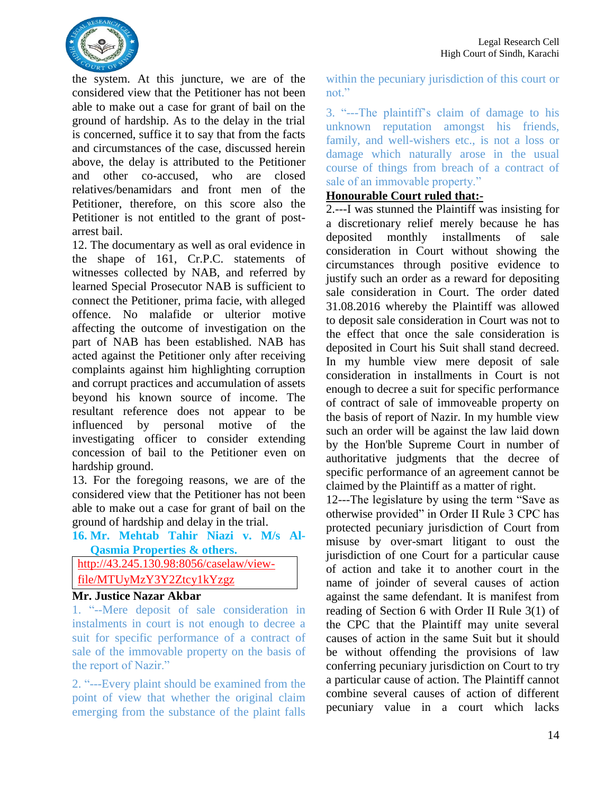

the system. At this juncture, we are of the considered view that the Petitioner has not been able to make out a case for grant of bail on the ground of hardship. As to the delay in the trial is concerned, suffice it to say that from the facts and circumstances of the case, discussed herein above, the delay is attributed to the Petitioner and other co-accused, who are closed relatives/benamidars and front men of the Petitioner, therefore, on this score also the Petitioner is not entitled to the grant of postarrest bail.

12. The documentary as well as oral evidence in the shape of 161, Cr.P.C. statements of witnesses collected by NAB, and referred by learned Special Prosecutor NAB is sufficient to connect the Petitioner, prima facie, with alleged offence. No malafide or ulterior motive affecting the outcome of investigation on the part of NAB has been established. NAB has acted against the Petitioner only after receiving complaints against him highlighting corruption and corrupt practices and accumulation of assets beyond his known source of income. The resultant reference does not appear to be influenced by personal motive of the investigating officer to consider extending concession of bail to the Petitioner even on hardship ground.

13. For the foregoing reasons, we are of the considered view that the Petitioner has not been able to make out a case for grant of bail on the ground of hardship and delay in the trial.

<span id="page-17-0"></span>**16. Mr. Mehtab Tahir Niazi v. M/s Al-Qasmia Properties & others.** 

| http://43.245.130.98:8056/caselaw/view- |
|-----------------------------------------|
| file/MTUyMzY3Y2Ztcy1kYzgz               |

#### **Mr. Justice Nazar Akbar**

<span id="page-17-1"></span>1. "--Mere deposit of sale consideration in instalments in court is not enough to decree a suit for specific performance of a contract of sale of the immovable property on the basis of the report of Nazir."

<span id="page-17-2"></span>2. "---Every plaint should be examined from the point of view that whether the original claim emerging from the substance of the plaint falls

within the pecuniary jurisdiction of this court or not."

<span id="page-17-3"></span>3. "---The plaintiff's claim of damage to his unknown reputation amongst his friends, family, and well-wishers etc., is not a loss or damage which naturally arose in the usual course of things from breach of a contract of sale of an immovable property."

#### **Honourable Court ruled that:-**

2.---I was stunned the Plaintiff was insisting for a discretionary relief merely because he has deposited monthly installments of sale consideration in Court without showing the circumstances through positive evidence to justify such an order as a reward for depositing sale consideration in Court. The order dated 31.08.2016 whereby the Plaintiff was allowed to deposit sale consideration in Court was not to the effect that once the sale consideration is deposited in Court his Suit shall stand decreed. In my humble view mere deposit of sale consideration in installments in Court is not enough to decree a suit for specific performance of contract of sale of immoveable property on the basis of report of Nazir. In my humble view such an order will be against the law laid down by the Hon'ble Supreme Court in number of authoritative judgments that the decree of specific performance of an agreement cannot be claimed by the Plaintiff as a matter of right.

12---The legislature by using the term "Save as otherwise provided" in Order II Rule 3 CPC has protected pecuniary jurisdiction of Court from misuse by over-smart litigant to oust the jurisdiction of one Court for a particular cause of action and take it to another court in the name of joinder of several causes of action against the same defendant. It is manifest from reading of Section 6 with Order II Rule 3(1) of the CPC that the Plaintiff may unite several causes of action in the same Suit but it should be without offending the provisions of law conferring pecuniary jurisdiction on Court to try a particular cause of action. The Plaintiff cannot combine several causes of action of different pecuniary value in a court which lacks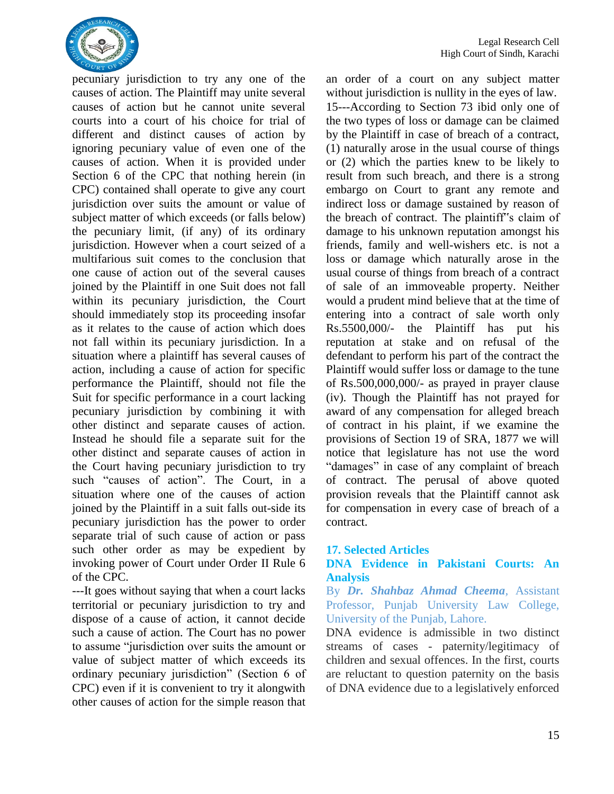

pecuniary jurisdiction to try any one of the causes of action. The Plaintiff may unite several causes of action but he cannot unite several courts into a court of his choice for trial of different and distinct causes of action by ignoring pecuniary value of even one of the causes of action. When it is provided under Section 6 of the CPC that nothing herein (in CPC) contained shall operate to give any court jurisdiction over suits the amount or value of subject matter of which exceeds (or falls below) the pecuniary limit, (if any) of its ordinary jurisdiction. However when a court seized of a multifarious suit comes to the conclusion that one cause of action out of the several causes joined by the Plaintiff in one Suit does not fall within its pecuniary jurisdiction, the Court should immediately stop its proceeding insofar as it relates to the cause of action which does not fall within its pecuniary jurisdiction. In a situation where a plaintiff has several causes of action, including a cause of action for specific performance the Plaintiff, should not file the Suit for specific performance in a court lacking pecuniary jurisdiction by combining it with other distinct and separate causes of action. Instead he should file a separate suit for the other distinct and separate causes of action in the Court having pecuniary jurisdiction to try such "causes of action". The Court, in a situation where one of the causes of action joined by the Plaintiff in a suit falls out-side its pecuniary jurisdiction has the power to order separate trial of such cause of action or pass such other order as may be expedient by invoking power of Court under Order II Rule 6 of the CPC.

---It goes without saying that when a court lacks territorial or pecuniary jurisdiction to try and dispose of a cause of action, it cannot decide such a cause of action. The Court has no power to assume "jurisdiction over suits the amount or value of subject matter of which exceeds its ordinary pecuniary jurisdiction" (Section 6 of CPC) even if it is convenient to try it alongwith other causes of action for the simple reason that

an order of a court on any subject matter without jurisdiction is nullity in the eyes of law. 15---According to Section 73 ibid only one of the two types of loss or damage can be claimed by the Plaintiff in case of breach of a contract, (1) naturally arose in the usual course of things or (2) which the parties knew to be likely to result from such breach, and there is a strong embargo on Court to grant any remote and indirect loss or damage sustained by reason of the breach of contract. The plaintiff"s claim of damage to his unknown reputation amongst his friends, family and well-wishers etc. is not a loss or damage which naturally arose in the usual course of things from breach of a contract of sale of an immoveable property. Neither would a prudent mind believe that at the time of entering into a contract of sale worth only Rs.5500,000/- the Plaintiff has put his reputation at stake and on refusal of the defendant to perform his part of the contract the Plaintiff would suffer loss or damage to the tune of Rs.500,000,000/- as prayed in prayer clause (iv). Though the Plaintiff has not prayed for award of any compensation for alleged breach of contract in his plaint, if we examine the provisions of Section 19 of SRA, 1877 we will notice that legislature has not use the word "damages" in case of any complaint of breach of contract. The perusal of above quoted provision reveals that the Plaintiff cannot ask for compensation in every case of breach of a contract.

#### <span id="page-18-0"></span>**17. Selected Articles**

#### <span id="page-18-1"></span>**DNA Evidence in Pakistani Courts: An Analysis**

<span id="page-18-2"></span>By *Dr. Shahbaz Ahmad Cheema,* Assistant Professor, Punjab University Law College, University of the Punjab, Lahore.

DNA evidence is admissible in two distinct streams of cases - paternity/legitimacy of children and sexual offences. In the first, courts are reluctant to question paternity on the basis of DNA evidence due to a legislatively enforced